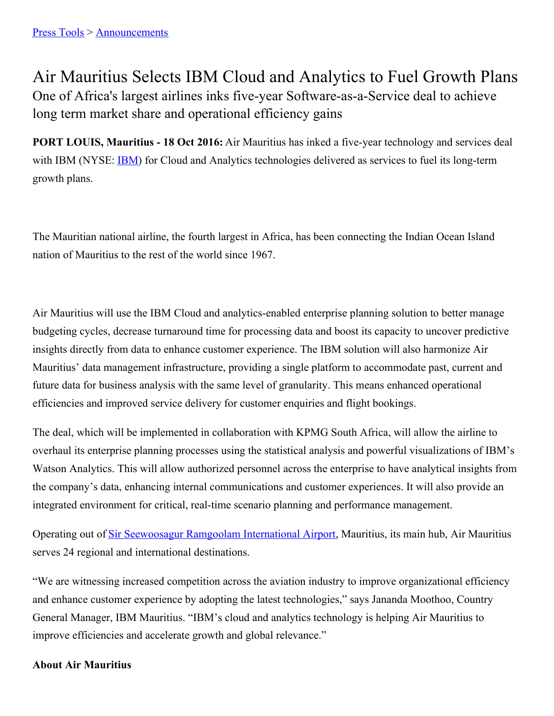## Air Mauritius Selects IBM Cloud and Analytics to Fuel Growth Plans One of Africa's largest airlines inks five-year Software-as-a-Service deal to achieve long term market share and operational efficiency gains

**PORT LOUIS, Mauritius - 18 Oct 2016:** Air Mauritius has inked a five-year technology and services deal with [IBM](http://www.ibm.com/investor) (NYSE: IBM) for Cloud and Analytics technologies delivered as services to fuel its long-term growth plans.

The Mauritian national airline, the fourth largest in Africa, has been connecting the Indian Ocean Island nation of Mauritius to the rest of the world since 1967.

Air Mauritius will use the IBM Cloud and analytics-enabled enterprise planning solution to better manage budgeting cycles, decrease turnaround time for processing data and boost its capacity to uncover predictive insights directly from data to enhance customer experience. The IBM solution will also harmonize Air Mauritius' data management infrastructure, providing a single platform to accommodate past, current and future data for business analysis with the same level of granularity. This means enhanced operational efficiencies and improved service delivery for customer enquiries and flight bookings.

The deal, which will be implemented in collaboration with KPMG South Africa, will allow the airline to overhaul its enterprise planning processes using the statistical analysis and powerful visualizations of IBM's Watson Analytics. This will allow authorized personnel across the enterprise to have analytical insights from the company's data, enhancing internal communications and customer experiences. It will also provide an integrated environment for critical, real-time scenario planning and performance management.

Operating out of Sir [Seewoosagur](https://en.wikipedia.org/wiki/Sir_Seewoosagur_Ramgoolam_International_Airport) Ramgoolam International Airport, Mauritius, its main hub, Air Mauritius serves 24 regional and international destinations.

"We are witnessing increased competition across the aviation industry to improve organizational efficiency and enhance customer experience by adopting the latest technologies," says Jananda Moothoo, Country General Manager, IBM Mauritius. "IBM's cloud and analytics technology is helping Air Mauritius to improve efficiencies and accelerate growth and global relevance."

## **About Air Mauritius**